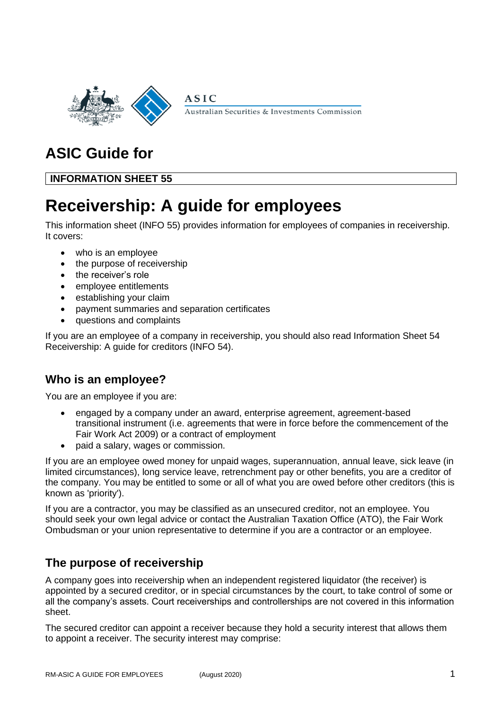

Australian Securities & Investments Commission

# **ASIC Guide for**

**INFORMATION SHEET 55**

# **Receivership: A guide for employees**

**ASIC** 

This information sheet (INFO 55) provides information for employees of companies in receivership. It covers:

- who is an employee
- the purpose of receivership
- the receiver's role
- employee entitlements
- establishing your claim
- payment summaries and separation certificates
- questions and complaints

If you are an employee of a company in receivership, you should also read Information Sheet 54 Receivership: A guide for creditors (INFO 54).

# **Who is an employee?**

You are an employee if you are:

- engaged by a company under an award, enterprise agreement, agreement-based transitional instrument (i.e. agreements that were in force before the commencement of the Fair Work Act 2009) or a contract of employment
- paid a salary, wages or commission.

If you are an employee owed money for unpaid wages, superannuation, annual leave, sick leave (in limited circumstances), long service leave, retrenchment pay or other benefits, you are a creditor of the company. You may be entitled to some or all of what you are owed before other creditors (this is known as 'priority').

If you are a contractor, you may be classified as an unsecured creditor, not an employee. You should seek your own legal advice or contact the Australian Taxation Office (ATO), the Fair Work Ombudsman or your union representative to determine if you are a contractor or an employee.

# **The purpose of receivership**

A company goes into receivership when an independent registered liquidator (the receiver) is appointed by a secured creditor, or in special circumstances by the court, to take control of some or all the company's assets. Court receiverships and controllerships are not covered in this information sheet.

The secured creditor can appoint a receiver because they hold a security interest that allows them to appoint a receiver. The security interest may comprise: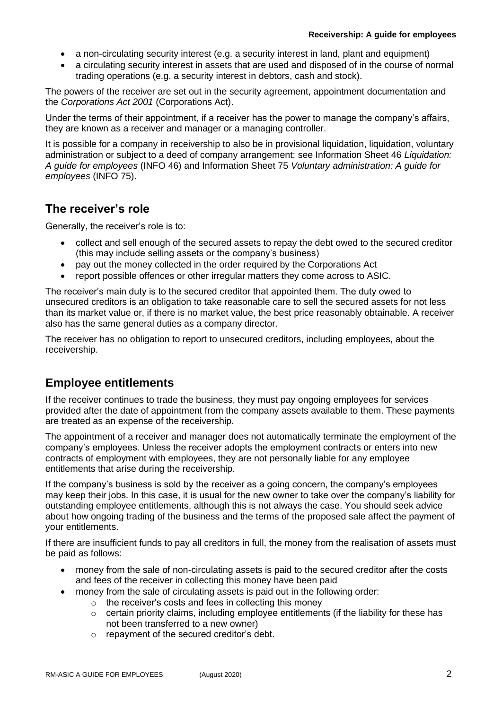- a non-circulating security interest (e.g. a security interest in land, plant and equipment)
- a circulating security interest in assets that are used and disposed of in the course of normal trading operations (e.g. a security interest in debtors, cash and stock).

The powers of the receiver are set out in the security agreement, appointment documentation and the *Corporations Act 2001* (Corporations Act).

Under the terms of their appointment, if a receiver has the power to manage the company's affairs, they are known as a receiver and manager or a managing controller.

It is possible for a company in receivership to also be in provisional liquidation, liquidation, voluntary administration or subject to a deed of company arrangement: see Information Sheet 46 *Liquidation: A guide for employees* (INFO 46) and Information Sheet 75 *Voluntary administration: A guide for employees* (INFO 75).

### **The receiver's role**

Generally, the receiver's role is to:

- collect and sell enough of the secured assets to repay the debt owed to the secured creditor (this may include selling assets or the company's business)
- pay out the money collected in the order required by the Corporations Act
- report possible offences or other irregular matters they come across to ASIC.

The receiver's main duty is to the secured creditor that appointed them. The duty owed to unsecured creditors is an obligation to take reasonable care to sell the secured assets for not less than its market value or, if there is no market value, the best price reasonably obtainable. A receiver also has the same general duties as a company director.

The receiver has no obligation to report to unsecured creditors, including employees, about the receivership.

## **Employee entitlements**

If the receiver continues to trade the business, they must pay ongoing employees for services provided after the date of appointment from the company assets available to them. These payments are treated as an expense of the receivership.

The appointment of a receiver and manager does not automatically terminate the employment of the company's employees. Unless the receiver adopts the employment contracts or enters into new contracts of employment with employees, they are not personally liable for any employee entitlements that arise during the receivership.

If the company's business is sold by the receiver as a going concern, the company's employees may keep their jobs. In this case, it is usual for the new owner to take over the company's liability for outstanding employee entitlements, although this is not always the case. You should seek advice about how ongoing trading of the business and the terms of the proposed sale affect the payment of your entitlements.

If there are insufficient funds to pay all creditors in full, the money from the realisation of assets must be paid as follows:

- money from the sale of non-circulating assets is paid to the secured creditor after the costs and fees of the receiver in collecting this money have been paid
	- money from the sale of circulating assets is paid out in the following order:
		- $\circ$  the receiver's costs and fees in collecting this money
		- o certain priority claims, including employee entitlements (if the liability for these has not been transferred to a new owner)
		- o repayment of the secured creditor's debt.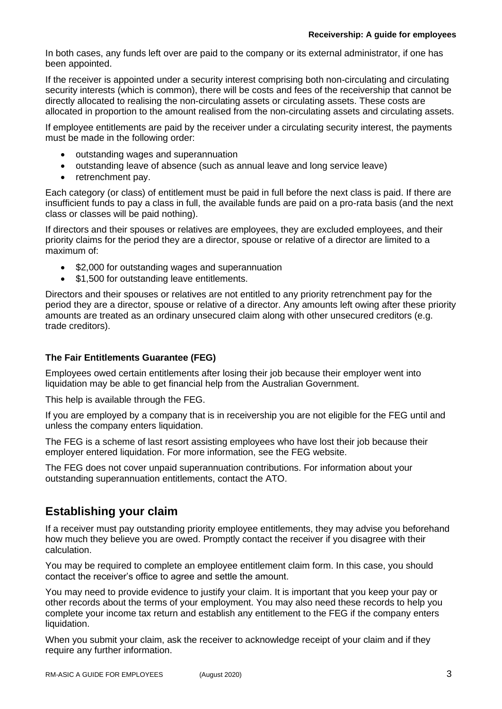In both cases, any funds left over are paid to the company or its external administrator, if one has been appointed.

If the receiver is appointed under a security interest comprising both non-circulating and circulating security interests (which is common), there will be costs and fees of the receivership that cannot be directly allocated to realising the non-circulating assets or circulating assets. These costs are allocated in proportion to the amount realised from the non-circulating assets and circulating assets.

If employee entitlements are paid by the receiver under a circulating security interest, the payments must be made in the following order:

- outstanding wages and superannuation
- outstanding leave of absence (such as annual leave and long service leave)
- retrenchment pay.

Each category (or class) of entitlement must be paid in full before the next class is paid. If there are insufficient funds to pay a class in full, the available funds are paid on a pro-rata basis (and the next class or classes will be paid nothing).

If directors and their spouses or relatives are employees, they are excluded employees, and their priority claims for the period they are a director, spouse or relative of a director are limited to a maximum of:

- \$2,000 for outstanding wages and superannuation
- \$1,500 for outstanding leave entitlements.

Directors and their spouses or relatives are not entitled to any priority retrenchment pay for the period they are a director, spouse or relative of a director. Any amounts left owing after these priority amounts are treated as an ordinary unsecured claim along with other unsecured creditors (e.g. trade creditors).

#### **The Fair Entitlements Guarantee (FEG)**

Employees owed certain entitlements after losing their job because their employer went into liquidation may be able to get financial help from the Australian Government.

This help is available through the FEG.

If you are employed by a company that is in receivership you are not eligible for the FEG until and unless the company enters liquidation.

The FEG is a scheme of last resort assisting employees who have lost their job because their employer entered liquidation. For more information, see the FEG website.

The FEG does not cover unpaid superannuation contributions. For information about your outstanding superannuation entitlements, contact the ATO.

# **Establishing your claim**

If a receiver must pay outstanding priority employee entitlements, they may advise you beforehand how much they believe you are owed. Promptly contact the receiver if you disagree with their calculation.

You may be required to complete an employee entitlement claim form. In this case, you should contact the receiver's office to agree and settle the amount.

You may need to provide evidence to justify your claim. It is important that you keep your pay or other records about the terms of your employment. You may also need these records to help you complete your income tax return and establish any entitlement to the FEG if the company enters liquidation.

When you submit your claim, ask the receiver to acknowledge receipt of your claim and if they require any further information.